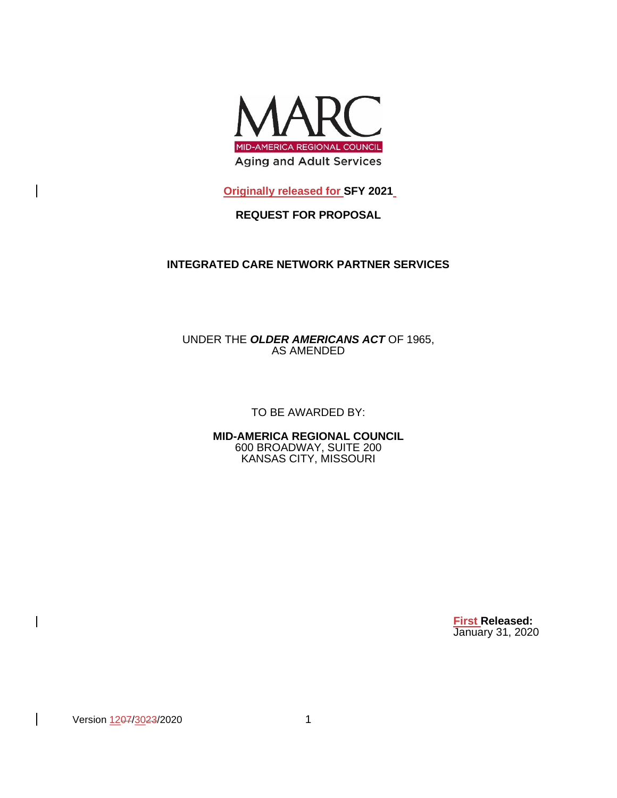

**Originally released for SFY 2021**

# **REQUEST FOR PROPOSAL**

## **INTEGRATED CARE NETWORK PARTNER SERVICES**

UNDER THE *OLDER AMERICANS ACT* OF 1965, AS AMENDED

TO BE AWARDED BY:

**MID-AMERICA REGIONAL COUNCIL** 600 BROADWAY, SUITE 200 KANSAS CITY, MISSOURI

> **First Released:** January 31, 2020

Version 1207/3023/2020 1

 $\overline{\phantom{a}}$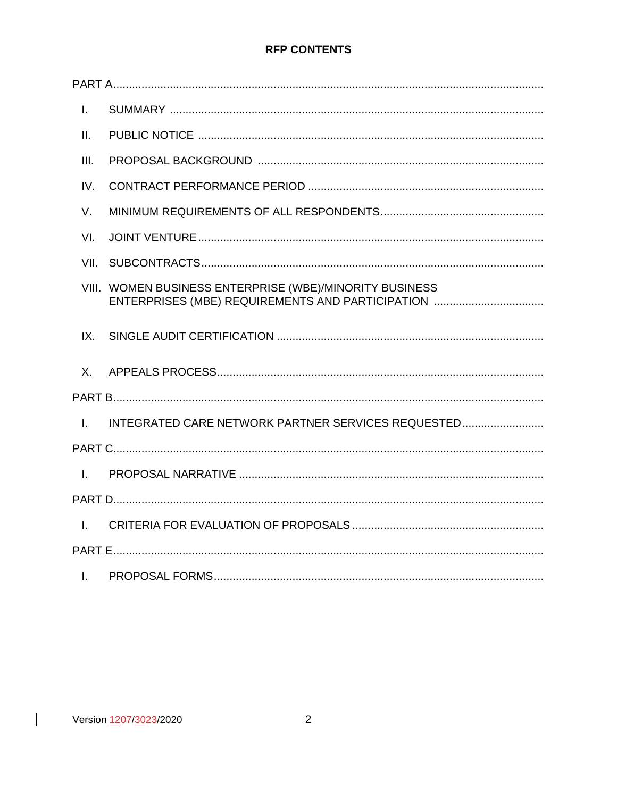## **RFP CONTENTS**

| $\mathbf{I}$ . |                                                                                                             |
|----------------|-------------------------------------------------------------------------------------------------------------|
| $\prod$        |                                                                                                             |
| III.           |                                                                                                             |
| IV.            |                                                                                                             |
| V.             |                                                                                                             |
| VI.            |                                                                                                             |
| VII.           |                                                                                                             |
|                | VIII. WOMEN BUSINESS ENTERPRISE (WBE)/MINORITY BUSINESS<br>ENTERPRISES (MBE) REQUIREMENTS AND PARTICIPATION |
| IX.            |                                                                                                             |
| $X_{-}$        |                                                                                                             |
|                |                                                                                                             |
| $\perp$        | INTEGRATED CARE NETWORK PARTNER SERVICES REQUESTED                                                          |
|                |                                                                                                             |
| $\mathbf{L}$   |                                                                                                             |
|                |                                                                                                             |
| $\perp$        |                                                                                                             |
|                |                                                                                                             |
|                |                                                                                                             |

 $\overline{\phantom{a}}$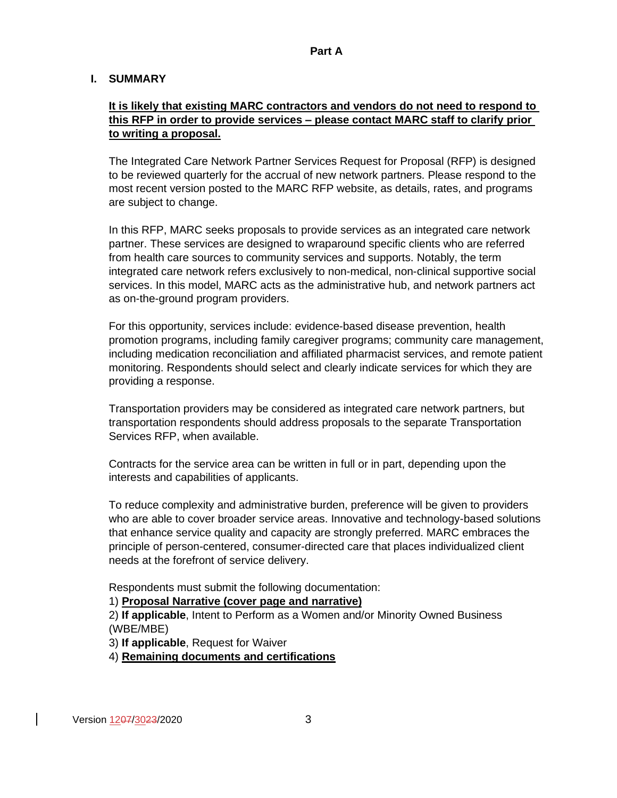### **I. SUMMARY**

## **It is likely that existing MARC contractors and vendors do not need to respond to this RFP in order to provide services – please contact MARC staff to clarify prior to writing a proposal.**

The Integrated Care Network Partner Services Request for Proposal (RFP) is designed to be reviewed quarterly for the accrual of new network partners. Please respond to the most recent version posted to the MARC RFP website, as details, rates, and programs are subject to change.

In this RFP, MARC seeks proposals to provide services as an integrated care network partner. These services are designed to wraparound specific clients who are referred from health care sources to community services and supports. Notably, the term integrated care network refers exclusively to non-medical, non-clinical supportive social services. In this model, MARC acts as the administrative hub, and network partners act as on-the-ground program providers.

For this opportunity, services include: evidence-based disease prevention, health promotion programs, including family caregiver programs; community care management, including medication reconciliation and affiliated pharmacist services, and remote patient monitoring. Respondents should select and clearly indicate services for which they are providing a response.

Transportation providers may be considered as integrated care network partners, but transportation respondents should address proposals to the separate Transportation Services RFP, when available.

Contracts for the service area can be written in full or in part, depending upon the interests and capabilities of applicants.

To reduce complexity and administrative burden, preference will be given to providers who are able to cover broader service areas. Innovative and technology-based solutions that enhance service quality and capacity are strongly preferred. MARC embraces the principle of person-centered, consumer-directed care that places individualized client needs at the forefront of service delivery.

Respondents must submit the following documentation:

## 1) **Proposal Narrative (cover page and narrative)**

2) **If applicable**, Intent to Perform as a Women and/or Minority Owned Business (WBE/MBE)

3) **If applicable**, Request for Waiver

4) **Remaining documents and certifications**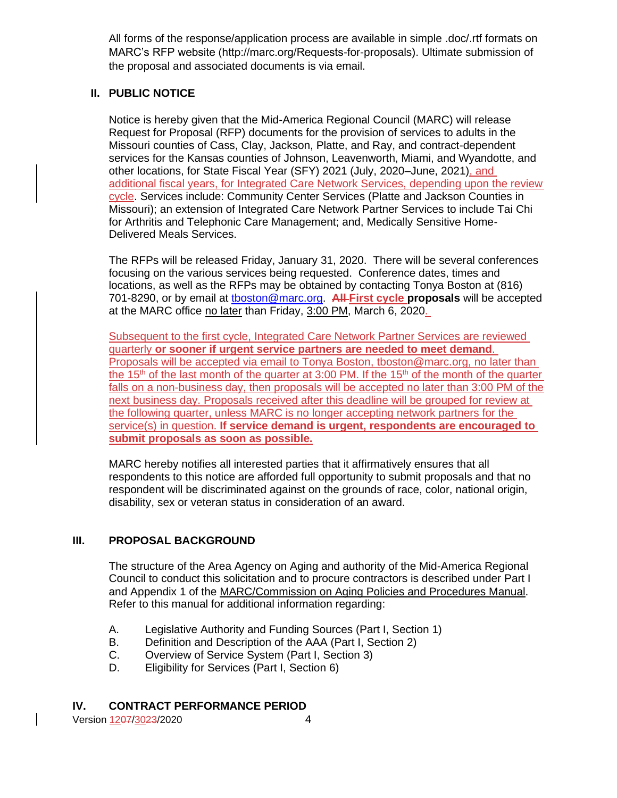All forms of the response/application process are available in simple .doc/.rtf formats on MARC's RFP website (http://marc.org/Requests-for-proposals). Ultimate submission of the proposal and associated documents is via email.

# **II. PUBLIC NOTICE**

Notice is hereby given that the Mid-America Regional Council (MARC) will release Request for Proposal (RFP) documents for the provision of services to adults in the Missouri counties of Cass, Clay, Jackson, Platte, and Ray, and contract-dependent services for the Kansas counties of Johnson, Leavenworth, Miami, and Wyandotte, and other locations, for State Fiscal Year (SFY) 2021 (July, 2020–June, 2021), and additional fiscal years, for Integrated Care Network Services, depending upon the review cycle. Services include: Community Center Services (Platte and Jackson Counties in Missouri); an extension of Integrated Care Network Partner Services to include Tai Chi for Arthritis and Telephonic Care Management; and, Medically Sensitive Home-Delivered Meals Services.

The RFPs will be released Friday, January 31, 2020. There will be several conferences focusing on the various services being requested. Conference dates, times and locations, as well as the RFPs may be obtained by contacting Tonya Boston at (816) 701-8290, or by email at [tboston@marc.org.](mailto:tboston@marc.org) **All First cycle proposals** will be accepted at the MARC office no later than Friday, 3:00 PM, March 6, 2020.

Subsequent to the first cycle, Integrated Care Network Partner Services are reviewed quarterly **or sooner if urgent service partners are needed to meet demand**. Proposals will be accepted via email to Tonya Boston, [tboston@marc.org,](mailto:tboston@marc.org) no later than the 15<sup>th</sup> of the last month of the quarter at 3:00 PM. If the 15<sup>th</sup> of the month of the quarter falls on a non-business day, then proposals will be accepted no later than 3:00 PM of the next business day. Proposals received after this deadline will be grouped for review at the following quarter, unless MARC is no longer accepting network partners for the service(s) in question. **If service demand is urgent, respondents are encouraged to submit proposals as soon as possible.**

MARC hereby notifies all interested parties that it affirmatively ensures that all respondents to this notice are afforded full opportunity to submit proposals and that no respondent will be discriminated against on the grounds of race, color, national origin, disability, sex or veteran status in consideration of an award.

# **III. PROPOSAL BACKGROUND**

The structure of the Area Agency on Aging and authority of the Mid-America Regional Council to conduct this solicitation and to procure contractors is described under Part I and Appendix 1 of the MARC/Commission on Aging Policies and Procedures Manual. Refer to this manual for additional information regarding:

- A. Legislative Authority and Funding Sources (Part I, Section 1)
- B. Definition and Description of the AAA (Part I, Section 2)
- C. Overview of Service System (Part I, Section 3)
- D. Eligibility for Services (Part I, Section 6)

## **IV. CONTRACT PERFORMANCE PERIOD**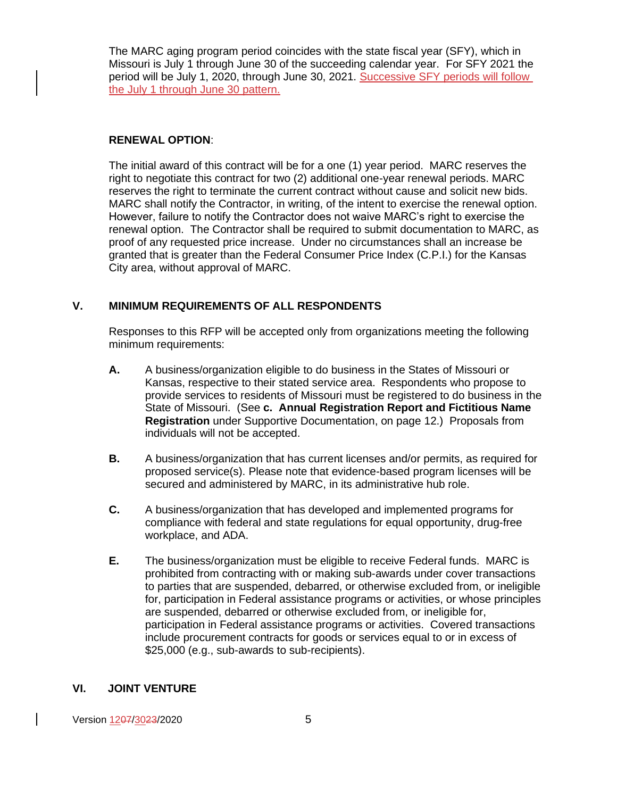The MARC aging program period coincides with the state fiscal year (SFY), which in Missouri is July 1 through June 30 of the succeeding calendar year. For SFY 2021 the period will be July 1, 2020, through June 30, 2021. Successive SFY periods will follow the July 1 through June 30 pattern.

#### **RENEWAL OPTION**:

The initial award of this contract will be for a one (1) year period. MARC reserves the right to negotiate this contract for two (2) additional one-year renewal periods. MARC reserves the right to terminate the current contract without cause and solicit new bids. MARC shall notify the Contractor, in writing, of the intent to exercise the renewal option. However, failure to notify the Contractor does not waive MARC's right to exercise the renewal option. The Contractor shall be required to submit documentation to MARC, as proof of any requested price increase. Under no circumstances shall an increase be granted that is greater than the Federal Consumer Price Index (C.P.I.) for the Kansas City area, without approval of MARC.

### **V. MINIMUM REQUIREMENTS OF ALL RESPONDENTS**

Responses to this RFP will be accepted only from organizations meeting the following minimum requirements:

- **A.** A business/organization eligible to do business in the States of Missouri or Kansas, respective to their stated service area. Respondents who propose to provide services to residents of Missouri must be registered to do business in the State of Missouri. (See **c. Annual Registration Report and Fictitious Name Registration** under Supportive Documentation, on page 12.) Proposals from individuals will not be accepted.
- **B.** A business/organization that has current licenses and/or permits, as required for proposed service(s). Please note that evidence-based program licenses will be secured and administered by MARC, in its administrative hub role.
- **C.** A business/organization that has developed and implemented programs for compliance with federal and state regulations for equal opportunity, drug-free workplace, and ADA.
- **E.** The business/organization must be eligible to receive Federal funds. MARC is prohibited from contracting with or making sub-awards under cover transactions to parties that are suspended, debarred, or otherwise excluded from, or ineligible for, participation in Federal assistance programs or activities, or whose principles are suspended, debarred or otherwise excluded from, or ineligible for, participation in Federal assistance programs or activities. Covered transactions include procurement contracts for goods or services equal to or in excess of \$25,000 (e.g., sub-awards to sub-recipients).

## **VI. JOINT VENTURE**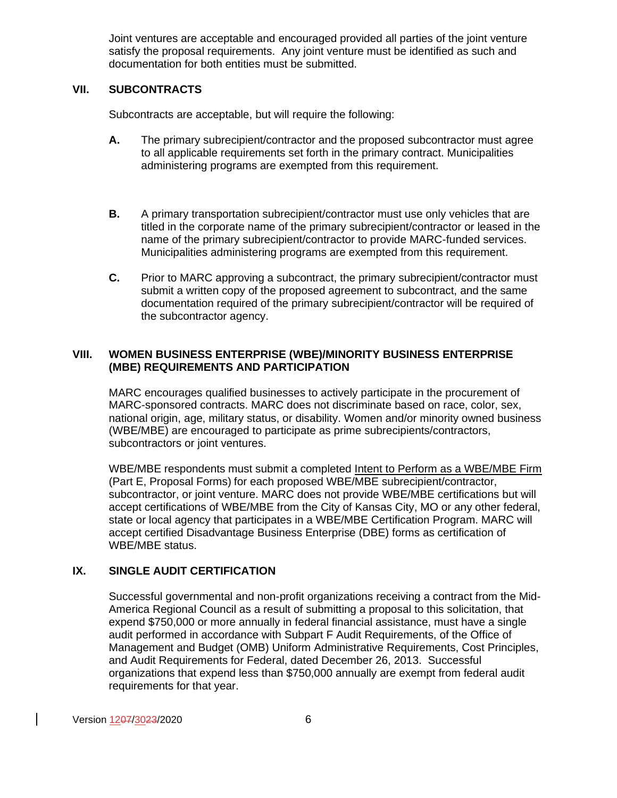Joint ventures are acceptable and encouraged provided all parties of the joint venture satisfy the proposal requirements. Any joint venture must be identified as such and documentation for both entities must be submitted.

### **VII. SUBCONTRACTS**

Subcontracts are acceptable, but will require the following:

- **A.** The primary subrecipient/contractor and the proposed subcontractor must agree to all applicable requirements set forth in the primary contract. Municipalities administering programs are exempted from this requirement.
- **B.** A primary transportation subrecipient/contractor must use only vehicles that are titled in the corporate name of the primary subrecipient/contractor or leased in the name of the primary subrecipient/contractor to provide MARC-funded services. Municipalities administering programs are exempted from this requirement.
- **C.** Prior to MARC approving a subcontract, the primary subrecipient/contractor must submit a written copy of the proposed agreement to subcontract, and the same documentation required of the primary subrecipient/contractor will be required of the subcontractor agency.

### **VIII. WOMEN BUSINESS ENTERPRISE (WBE)/MINORITY BUSINESS ENTERPRISE (MBE) REQUIREMENTS AND PARTICIPATION**

MARC encourages qualified businesses to actively participate in the procurement of MARC-sponsored contracts. MARC does not discriminate based on race, color, sex, national origin, age, military status, or disability. Women and/or minority owned business (WBE/MBE) are encouraged to participate as prime subrecipients/contractors, subcontractors or joint ventures.

WBE/MBE respondents must submit a completed Intent to Perform as a WBE/MBE Firm (Part E, Proposal Forms) for each proposed WBE/MBE subrecipient/contractor, subcontractor, or joint venture. MARC does not provide WBE/MBE certifications but will accept certifications of WBE/MBE from the City of Kansas City, MO or any other federal, state or local agency that participates in a WBE/MBE Certification Program. MARC will accept certified Disadvantage Business Enterprise (DBE) forms as certification of WBE/MBE status.

## **IX. SINGLE AUDIT CERTIFICATION**

Successful governmental and non-profit organizations receiving a contract from the Mid-America Regional Council as a result of submitting a proposal to this solicitation, that expend \$750,000 or more annually in federal financial assistance, must have a single audit performed in accordance with Subpart F Audit Requirements, of the Office of Management and Budget (OMB) Uniform Administrative Requirements, Cost Principles, and Audit Requirements for Federal, dated December 26, 2013. Successful organizations that expend less than \$750,000 annually are exempt from federal audit requirements for that year.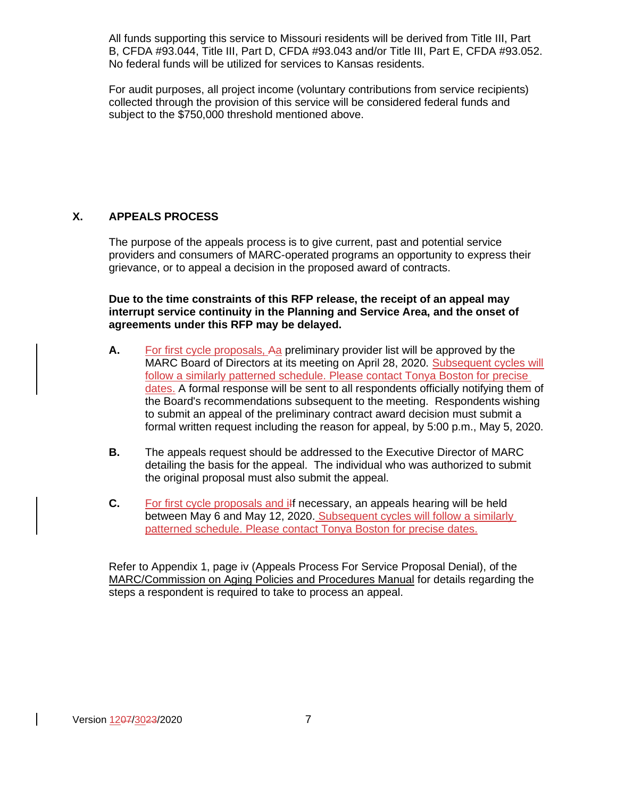All funds supporting this service to Missouri residents will be derived from Title III, Part B, CFDA #93.044, Title III, Part D, CFDA #93.043 and/or Title III, Part E, CFDA #93.052. No federal funds will be utilized for services to Kansas residents.

For audit purposes, all project income (voluntary contributions from service recipients) collected through the provision of this service will be considered federal funds and subject to the \$750,000 threshold mentioned above.

## **X. APPEALS PROCESS**

The purpose of the appeals process is to give current, past and potential service providers and consumers of MARC-operated programs an opportunity to express their grievance, or to appeal a decision in the proposed award of contracts.

**Due to the time constraints of this RFP release, the receipt of an appeal may interrupt service continuity in the Planning and Service Area, and the onset of agreements under this RFP may be delayed.**

- **A.** For first cycle proposals, Aa preliminary provider list will be approved by the MARC Board of Directors at its meeting on April 28, 2020. Subsequent cycles will follow a similarly patterned schedule. Please contact Tonya Boston for precise dates. A formal response will be sent to all respondents officially notifying them of the Board's recommendations subsequent to the meeting. Respondents wishing to submit an appeal of the preliminary contract award decision must submit a formal written request including the reason for appeal, by 5:00 p.m., May 5, 2020.
- **B.** The appeals request should be addressed to the Executive Director of MARC detailing the basis for the appeal. The individual who was authorized to submit the original proposal must also submit the appeal.
- **C.** For first cycle proposals and iff necessary, an appeals hearing will be held between May 6 and May 12, 2020. Subsequent cycles will follow a similarly patterned schedule. Please contact Tonya Boston for precise dates.

Refer to Appendix 1, page iv (Appeals Process For Service Proposal Denial), of the MARC/Commission on Aging Policies and Procedures Manual for details regarding the steps a respondent is required to take to process an appeal.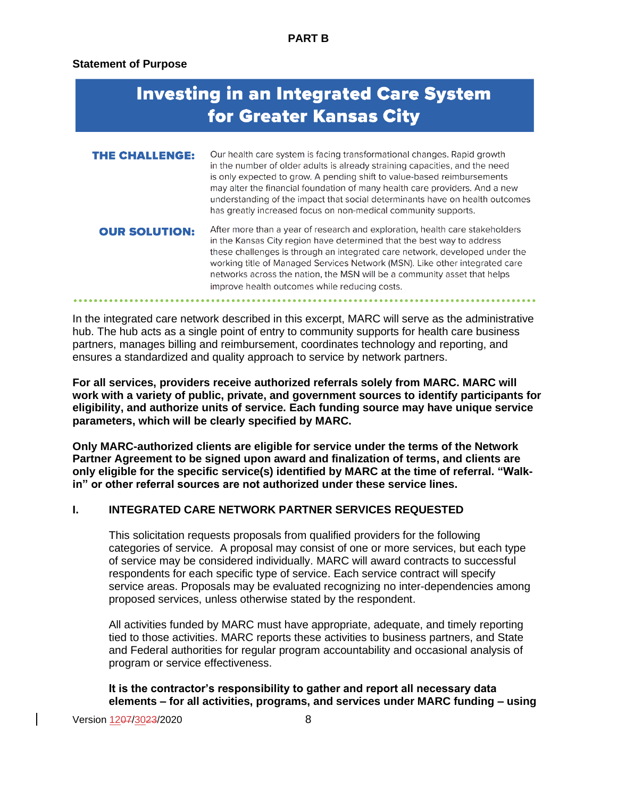#### **Statement of Purpose**

| <b>Investing in an Integrated Care System</b><br>for Greater Kansas City |                                                                                                                                                                                                                                                                                                                                                                                                                                                                    |  |
|--------------------------------------------------------------------------|--------------------------------------------------------------------------------------------------------------------------------------------------------------------------------------------------------------------------------------------------------------------------------------------------------------------------------------------------------------------------------------------------------------------------------------------------------------------|--|
| <b>THE CHALLENGE:</b>                                                    | Our health care system is facing transformational changes. Rapid growth<br>in the number of older adults is already straining capacities, and the need<br>is only expected to grow. A pending shift to value-based reimbursements<br>may alter the financial foundation of many health care providers. And a new<br>understanding of the impact that social determinants have on health outcomes<br>has greatly increased focus on non-medical community supports. |  |
| <b>OUR SOLUTION:</b>                                                     | After more than a year of research and exploration, health care stakeholders<br>in the Kansas City region have determined that the best way to address<br>these challenges is through an integrated care network, developed under the<br>working title of Managed Services Network (MSN). Like other integrated care<br>networks across the nation, the MSN will be a community asset that helps<br>improve health outcomes while reducing costs.                  |  |

In the integrated care network described in this excerpt, MARC will serve as the administrative hub. The hub acts as a single point of entry to community supports for health care business partners, manages billing and reimbursement, coordinates technology and reporting, and ensures a standardized and quality approach to service by network partners.

**For all services, providers receive authorized referrals solely from MARC. MARC will work with a variety of public, private, and government sources to identify participants for eligibility, and authorize units of service. Each funding source may have unique service parameters, which will be clearly specified by MARC.**

**Only MARC-authorized clients are eligible for service under the terms of the Network Partner Agreement to be signed upon award and finalization of terms, and clients are only eligible for the specific service(s) identified by MARC at the time of referral. "Walkin" or other referral sources are not authorized under these service lines.**

## **I. INTEGRATED CARE NETWORK PARTNER SERVICES REQUESTED**

This solicitation requests proposals from qualified providers for the following categories of service. A proposal may consist of one or more services, but each type of service may be considered individually. MARC will award contracts to successful respondents for each specific type of service. Each service contract will specify service areas. Proposals may be evaluated recognizing no inter-dependencies among proposed services, unless otherwise stated by the respondent.

All activities funded by MARC must have appropriate, adequate, and timely reporting tied to those activities. MARC reports these activities to business partners, and State and Federal authorities for regular program accountability and occasional analysis of program or service effectiveness.

**It is the contractor's responsibility to gather and report all necessary data elements – for all activities, programs, and services under MARC funding – using**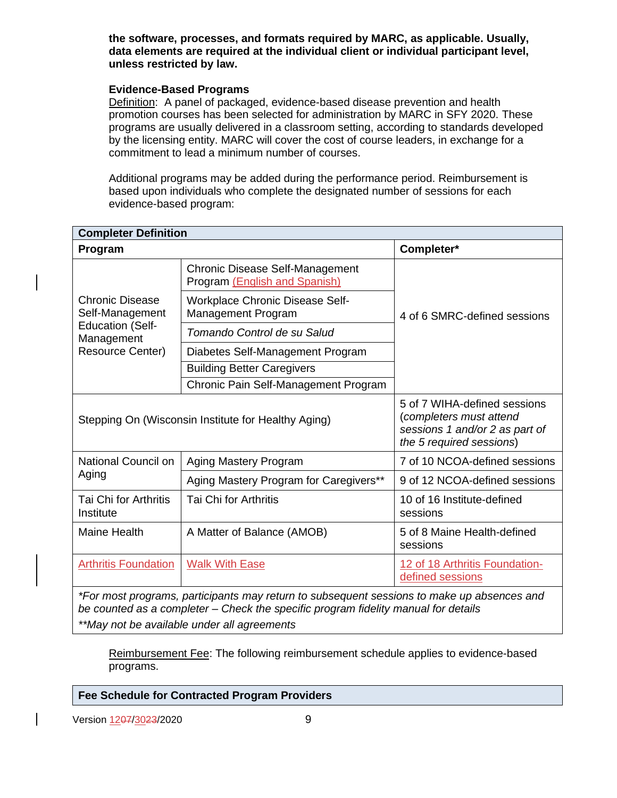**the software, processes, and formats required by MARC, as applicable. Usually, data elements are required at the individual client or individual participant level, unless restricted by law.**

#### **Evidence-Based Programs**

Definition: A panel of packaged, evidence-based disease prevention and health promotion courses has been selected for administration by MARC in SFY 2020. These programs are usually delivered in a classroom setting, according to standards developed by the licensing entity. MARC will cover the cost of course leaders, in exchange for a commitment to lead a minimum number of courses.

Additional programs may be added during the performance period. Reimbursement is based upon individuals who complete the designated number of sessions for each evidence-based program:

| <b>Completer Definition</b>               |                                                                         |                                                                                                                       |  |
|-------------------------------------------|-------------------------------------------------------------------------|-----------------------------------------------------------------------------------------------------------------------|--|
| Program                                   |                                                                         | Completer*                                                                                                            |  |
|                                           | <b>Chronic Disease Self-Management</b><br>Program (English and Spanish) |                                                                                                                       |  |
| <b>Chronic Disease</b><br>Self-Management | <b>Workplace Chronic Disease Self-</b><br>Management Program            | 4 of 6 SMRC-defined sessions                                                                                          |  |
| <b>Education (Self-</b><br>Management     | Tomando Control de su Salud                                             |                                                                                                                       |  |
| <b>Resource Center)</b>                   | Diabetes Self-Management Program                                        |                                                                                                                       |  |
|                                           | <b>Building Better Caregivers</b>                                       |                                                                                                                       |  |
|                                           | Chronic Pain Self-Management Program                                    |                                                                                                                       |  |
|                                           | Stepping On (Wisconsin Institute for Healthy Aging)                     | 5 of 7 WIHA-defined sessions<br>(completers must attend<br>sessions 1 and/or 2 as part of<br>the 5 required sessions) |  |
| National Council on                       | Aging Mastery Program                                                   | 7 of 10 NCOA-defined sessions                                                                                         |  |
| Aging                                     | Aging Mastery Program for Caregivers**                                  | 9 of 12 NCOA-defined sessions                                                                                         |  |
| Tai Chi for Arthritis<br>Institute        | Tai Chi for Arthritis                                                   | 10 of 16 Institute-defined<br>sessions                                                                                |  |
| <b>Maine Health</b>                       | A Matter of Balance (AMOB)                                              | 5 of 8 Maine Health-defined<br>sessions                                                                               |  |
| <b>Arthritis Foundation</b>               | <b>Walk With Ease</b>                                                   | 12 of 18 Arthritis Foundation-<br>defined sessions                                                                    |  |

*\*For most programs, participants may return to subsequent sessions to make up absences and be counted as a completer – Check the specific program fidelity manual for details \*\*May not be available under all agreements*

Reimbursement Fee: The following reimbursement schedule applies to evidence-based programs.

**Fee Schedule for Contracted Program Providers**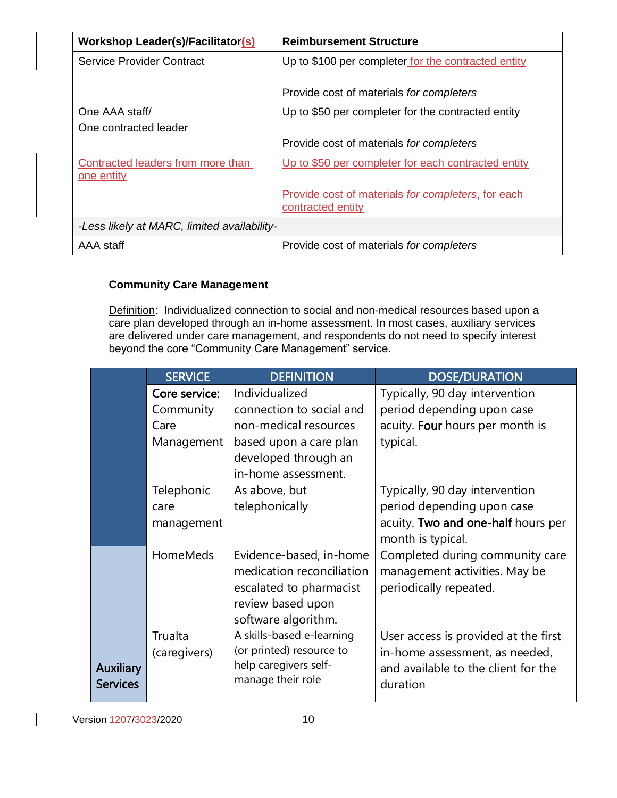| <b>Workshop Leader(s)/Facilitator(s)</b>        | <b>Reimbursement Structure</b>                                          |
|-------------------------------------------------|-------------------------------------------------------------------------|
| <b>Service Provider Contract</b>                | Up to \$100 per completer for the contracted entity                     |
|                                                 | Provide cost of materials for completers                                |
| One AAA staff/                                  | Up to \$50 per completer for the contracted entity                      |
| One contracted leader                           |                                                                         |
|                                                 | Provide cost of materials for completers                                |
| Contracted leaders from more than<br>one entity | Up to \$50 per completer for each contracted entity                     |
|                                                 | Provide cost of materials for completers, for each<br>contracted entity |
| -Less likely at MARC, limited availability-     |                                                                         |
| AAA staff                                       | Provide cost of materials for completers                                |

## **Community Care Management**

Definition: Individualized connection to social and non-medical resources based upon a care plan developed through an in-home assessment. In most cases, auxiliary services are delivered under care management, and respondents do not need to specify interest beyond the core "Community Care Management" service.

|                  | <b>SERVICE</b>  | <b>DEFINITION</b>                          | <b>DOSE/DURATION</b>                 |
|------------------|-----------------|--------------------------------------------|--------------------------------------|
|                  | Core service:   | Individualized                             | Typically, 90 day intervention       |
|                  | Community       | connection to social and                   | period depending upon case           |
|                  | Care            | non-medical resources                      | acuity. Four hours per month is      |
|                  | Management      | based upon a care plan                     | typical.                             |
|                  |                 | developed through an                       |                                      |
|                  |                 | in-home assessment.                        |                                      |
|                  | Telephonic      | As above, but                              | Typically, 90 day intervention       |
|                  | care            | telephonically                             | period depending upon case           |
|                  | management      |                                            | acuity. Two and one-half hours per   |
|                  |                 |                                            | month is typical.                    |
|                  | <b>HomeMeds</b> | Evidence-based, in-home                    | Completed during community care      |
|                  |                 | medication reconciliation                  | management activities. May be        |
|                  |                 | escalated to pharmacist                    | periodically repeated.               |
|                  |                 | review based upon                          |                                      |
|                  |                 | software algorithm.                        |                                      |
|                  | Trualta         | A skills-based e-learning                  | User access is provided at the first |
|                  | (caregivers)    | (or printed) resource to                   | in-home assessment, as needed,       |
| <b>Auxiliary</b> |                 | help caregivers self-<br>manage their role | and available to the client for the  |
| <b>Services</b>  |                 |                                            | duration                             |
|                  |                 |                                            |                                      |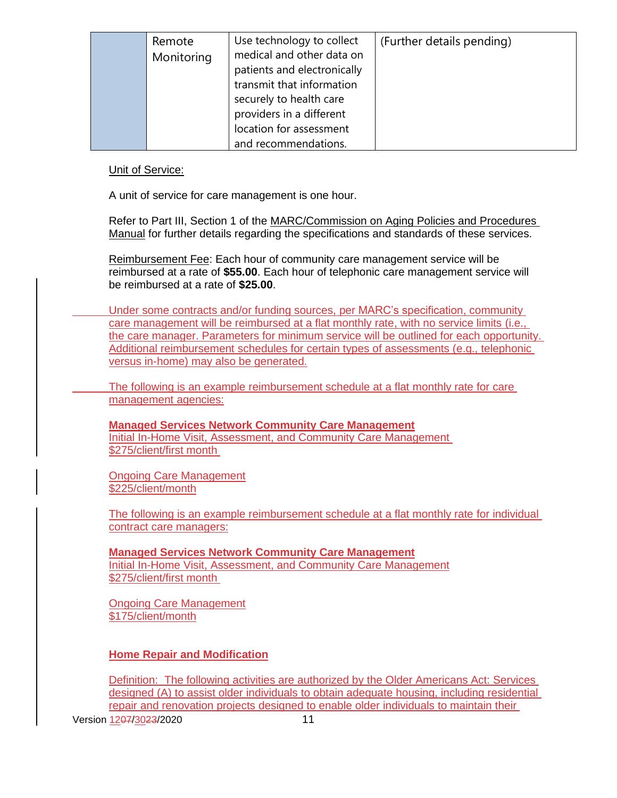| Remote<br>Monitoring | Use technology to collect<br>medical and other data on<br>patients and electronically<br>transmit that information<br>securely to health care<br>providers in a different<br>location for assessment | (Further details pending) |
|----------------------|------------------------------------------------------------------------------------------------------------------------------------------------------------------------------------------------------|---------------------------|
|                      | and recommendations.                                                                                                                                                                                 |                           |

#### Unit of Service:

A unit of service for care management is one hour.

Refer to Part III, Section 1 of the MARC/Commission on Aging Policies and Procedures Manual for further details regarding the specifications and standards of these services.

Reimbursement Fee: Each hour of community care management service will be reimbursed at a rate of **\$55.00**. Each hour of telephonic care management service will be reimbursed at a rate of **\$25.00**.

Under some contracts and/or funding sources, per MARC's specification, community care management will be reimbursed at a flat monthly rate, with no service limits (i.e., the care manager. Parameters for minimum service will be outlined for each opportunity. Additional reimbursement schedules for certain types of assessments (e.g., telephonic versus in-home) may also be generated.

The following is an example reimbursement schedule at a flat monthly rate for care management agencies:

**Managed Services Network Community Care Management** Initial In-Home Visit, Assessment, and Community Care Management \$275/client/first month

Ongoing Care Management \$225/client/month

The following is an example reimbursement schedule at a flat monthly rate for individual contract care managers:

**Managed Services Network Community Care Management** Initial In-Home Visit, Assessment, and Community Care Management \$275/client/first month

Ongoing Care Management \$175/client/month

**Home Repair and Modification**

Definition: The following activities are authorized by the Older Americans Act: Services designed (A) to assist older individuals to obtain adequate housing, including residential repair and renovation projects designed to enable older individuals to maintain their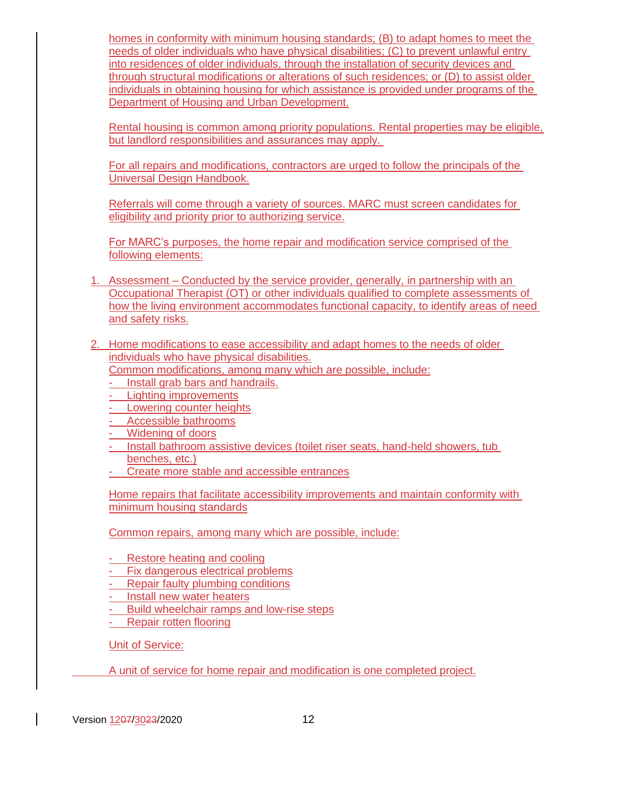homes in conformity with minimum housing standards; (B) to adapt homes to meet the needs of older individuals who have physical disabilities; (C) to prevent unlawful entry into residences of older individuals, through the installation of security devices and through structural modifications or alterations of such residences; or (D) to assist older individuals in obtaining housing for which assistance is provided under programs of the Department of Housing and Urban Development.

Rental housing is common among priority populations. Rental properties may be eligible, but landlord responsibilities and assurances may apply.

For all repairs and modifications, contractors are urged to follow the principals of the Universal Design Handbook.

Referrals will come through a variety of sources. MARC must screen candidates for eligibility and priority prior to authorizing service.

For MARC's purposes, the home repair and modification service comprised of the following elements:

- 1. Assessment Conducted by the service provider, generally, in partnership with an Occupational Therapist (OT) or other individuals qualified to complete assessments of how the living environment accommodates functional capacity, to identify areas of need and safety risks.
- 2. Home modifications to ease accessibility and adapt homes to the needs of older individuals who have physical disabilities.

Common modifications, among many which are possible, include:

- Install grab bars and handrails.
- Lighting improvements
- Lowering counter heights
- Accessible bathrooms
- Widening of doors
- Install bathroom assistive devices (toilet riser seats, hand-held showers, tub benches, etc.)
- Create more stable and accessible entrances

Home repairs that facilitate accessibility improvements and maintain conformity with minimum housing standards

Common repairs, among many which are possible, include:

- Restore heating and cooling

- Fix dangerous electrical problems
- **Repair faulty plumbing conditions**
- Install new water heaters
- Build wheelchair ramps and low-rise steps
- Repair rotten flooring

Unit of Service:

A unit of service for home repair and modification is one completed project.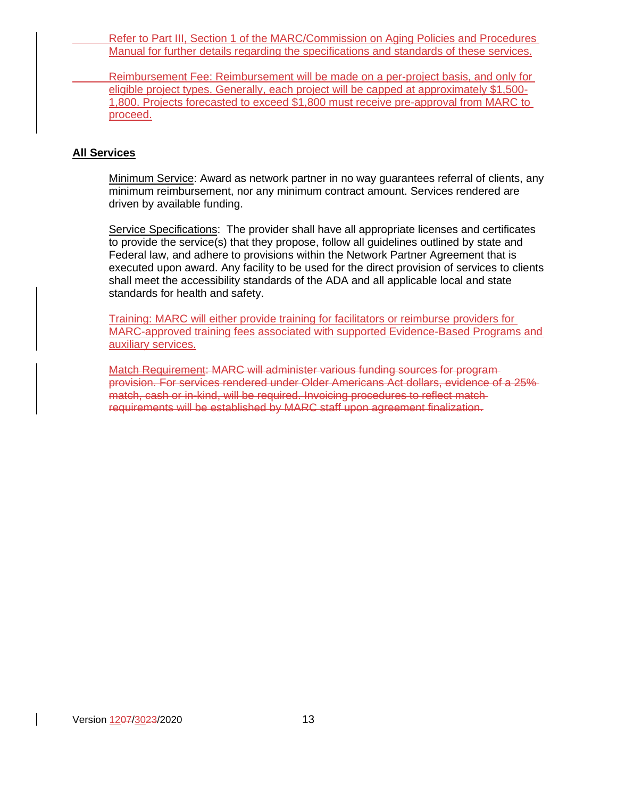Refer to Part III, Section 1 of the MARC/Commission on Aging Policies and Procedures Manual for further details regarding the specifications and standards of these services.

Reimbursement Fee: Reimbursement will be made on a per-project basis, and only for eligible project types. Generally, each project will be capped at approximately \$1,500- 1,800. Projects forecasted to exceed \$1,800 must receive pre-approval from MARC to proceed.

### **All Services**

Minimum Service: Award as network partner in no way guarantees referral of clients, any minimum reimbursement, nor any minimum contract amount. Services rendered are driven by available funding.

Service Specifications: The provider shall have all appropriate licenses and certificates to provide the service(s) that they propose, follow all guidelines outlined by state and Federal law, and adhere to provisions within the Network Partner Agreement that is executed upon award. Any facility to be used for the direct provision of services to clients shall meet the accessibility standards of the ADA and all applicable local and state standards for health and safety.

Training: MARC will either provide training for facilitators or reimburse providers for MARC-approved training fees associated with supported Evidence-Based Programs and auxiliary services.

Match Requirement: MARC will administer various funding sources for program provision. For services rendered under Older Americans Act dollars, evidence of a 25% match, cash or in-kind, will be required. Invoicing procedures to reflect match requirements will be established by MARC staff upon agreement finalization.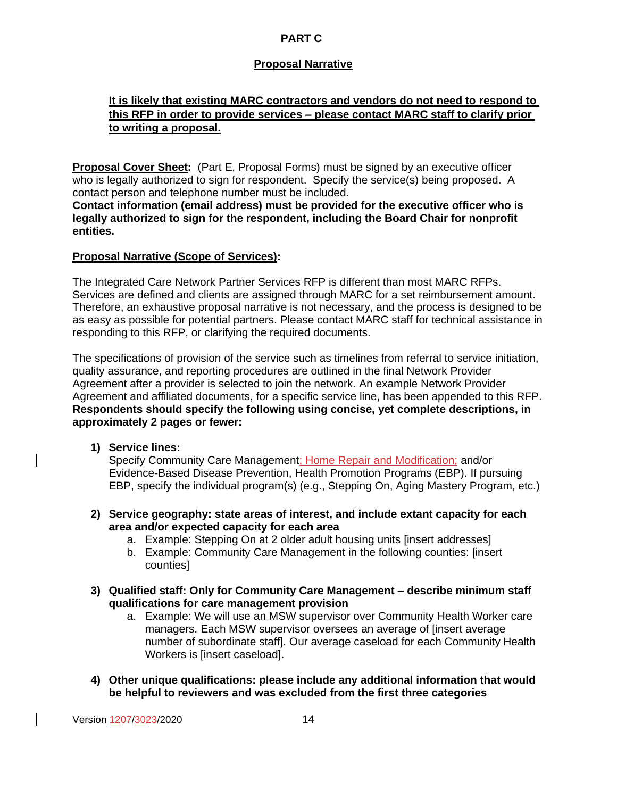## **PART C**

## **Proposal Narrative**

## **It is likely that existing MARC contractors and vendors do not need to respond to this RFP in order to provide services – please contact MARC staff to clarify prior to writing a proposal.**

**Proposal Cover Sheet:** (Part E, Proposal Forms) must be signed by an executive officer who is legally authorized to sign for respondent. Specify the service(s) being proposed. A contact person and telephone number must be included.

**Contact information (email address) must be provided for the executive officer who is legally authorized to sign for the respondent, including the Board Chair for nonprofit entities.**

## **Proposal Narrative (Scope of Services):**

The Integrated Care Network Partner Services RFP is different than most MARC RFPs. Services are defined and clients are assigned through MARC for a set reimbursement amount. Therefore, an exhaustive proposal narrative is not necessary, and the process is designed to be as easy as possible for potential partners. Please contact MARC staff for technical assistance in responding to this RFP, or clarifying the required documents.

The specifications of provision of the service such as timelines from referral to service initiation, quality assurance, and reporting procedures are outlined in the final Network Provider Agreement after a provider is selected to join the network. An example Network Provider Agreement and affiliated documents, for a specific service line, has been appended to this RFP. **Respondents should specify the following using concise, yet complete descriptions, in approximately 2 pages or fewer:**

## **1) Service lines:**

Specify Community Care Management; Home Repair and Modification; and/or Evidence-Based Disease Prevention, Health Promotion Programs (EBP). If pursuing EBP, specify the individual program(s) (e.g., Stepping On, Aging Mastery Program, etc.)

#### **2) Service geography: state areas of interest, and include extant capacity for each area and/or expected capacity for each area**

- a. Example: Stepping On at 2 older adult housing units [insert addresses]
- b. Example: Community Care Management in the following counties: [insert counties]
- **3) Qualified staff: Only for Community Care Management – describe minimum staff qualifications for care management provision**
	- a. Example: We will use an MSW supervisor over Community Health Worker care managers. Each MSW supervisor oversees an average of [insert average number of subordinate staff]. Our average caseload for each Community Health Workers is [insert caseload].
- **4) Other unique qualifications: please include any additional information that would be helpful to reviewers and was excluded from the first three categories**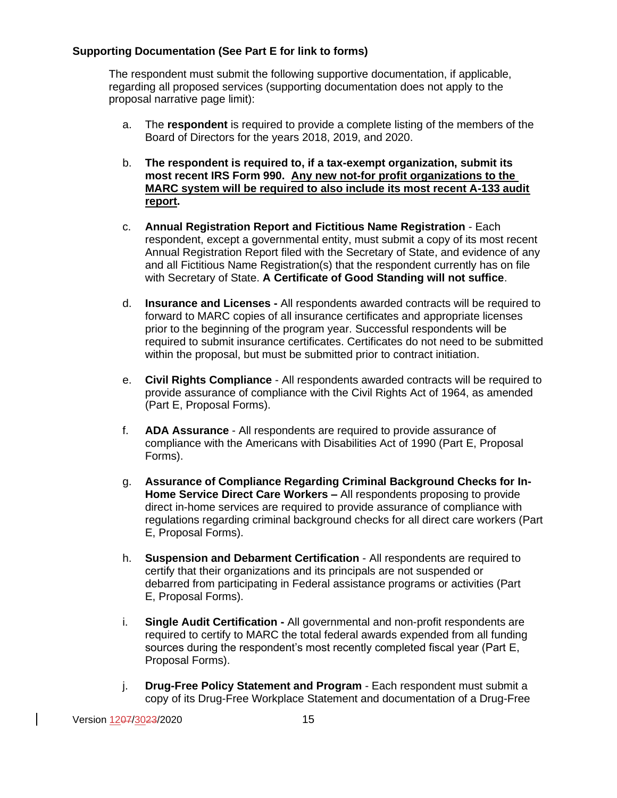## **Supporting Documentation (See Part E for link to forms)**

The respondent must submit the following supportive documentation, if applicable, regarding all proposed services (supporting documentation does not apply to the proposal narrative page limit):

- a. The **respondent** is required to provide a complete listing of the members of the Board of Directors for the years 2018, 2019, and 2020.
- b. **The respondent is required to, if a tax-exempt organization, submit its most recent IRS Form 990. Any new not-for profit organizations to the MARC system will be required to also include its most recent A-133 audit report.**
- c. **Annual Registration Report and Fictitious Name Registration** Each respondent, except a governmental entity, must submit a copy of its most recent Annual Registration Report filed with the Secretary of State, and evidence of any and all Fictitious Name Registration(s) that the respondent currently has on file with Secretary of State. **A Certificate of Good Standing will not suffice**.
- d. **Insurance and Licenses -** All respondents awarded contracts will be required to forward to MARC copies of all insurance certificates and appropriate licenses prior to the beginning of the program year. Successful respondents will be required to submit insurance certificates. Certificates do not need to be submitted within the proposal, but must be submitted prior to contract initiation.
- e. **Civil Rights Compliance** All respondents awarded contracts will be required to provide assurance of compliance with the Civil Rights Act of 1964, as amended (Part E, Proposal Forms).
- f. **ADA Assurance** All respondents are required to provide assurance of compliance with the Americans with Disabilities Act of 1990 (Part E, Proposal Forms).
- g. **Assurance of Compliance Regarding Criminal Background Checks for In-Home Service Direct Care Workers –** All respondents proposing to provide direct in-home services are required to provide assurance of compliance with regulations regarding criminal background checks for all direct care workers (Part E, Proposal Forms).
- h. **Suspension and Debarment Certification** All respondents are required to certify that their organizations and its principals are not suspended or debarred from participating in Federal assistance programs or activities (Part E, Proposal Forms).
- i. **Single Audit Certification -** All governmental and non-profit respondents are required to certify to MARC the total federal awards expended from all funding sources during the respondent's most recently completed fiscal year (Part E, Proposal Forms).
- j. **Drug-Free Policy Statement and Program**  Each respondent must submit a copy of its Drug-Free Workplace Statement and documentation of a Drug-Free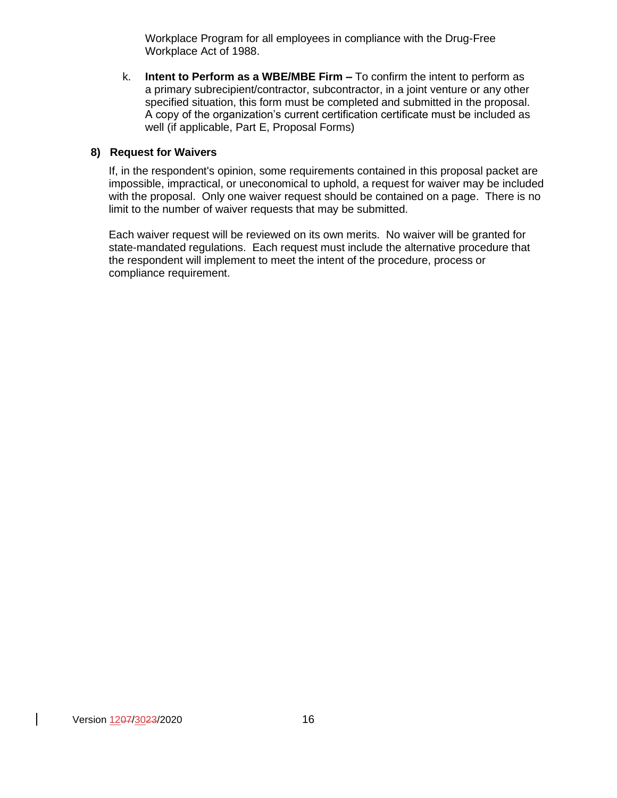Workplace Program for all employees in compliance with the Drug-Free Workplace Act of 1988.

k. **Intent to Perform as a WBE/MBE Firm –** To confirm the intent to perform as a primary subrecipient/contractor, subcontractor, in a joint venture or any other specified situation, this form must be completed and submitted in the proposal. A copy of the organization's current certification certificate must be included as well (if applicable, Part E, Proposal Forms)

#### **8) Request for Waivers**

If, in the respondent's opinion, some requirements contained in this proposal packet are impossible, impractical, or uneconomical to uphold, a request for waiver may be included with the proposal. Only one waiver request should be contained on a page. There is no limit to the number of waiver requests that may be submitted.

Each waiver request will be reviewed on its own merits. No waiver will be granted for state-mandated regulations. Each request must include the alternative procedure that the respondent will implement to meet the intent of the procedure, process or compliance requirement.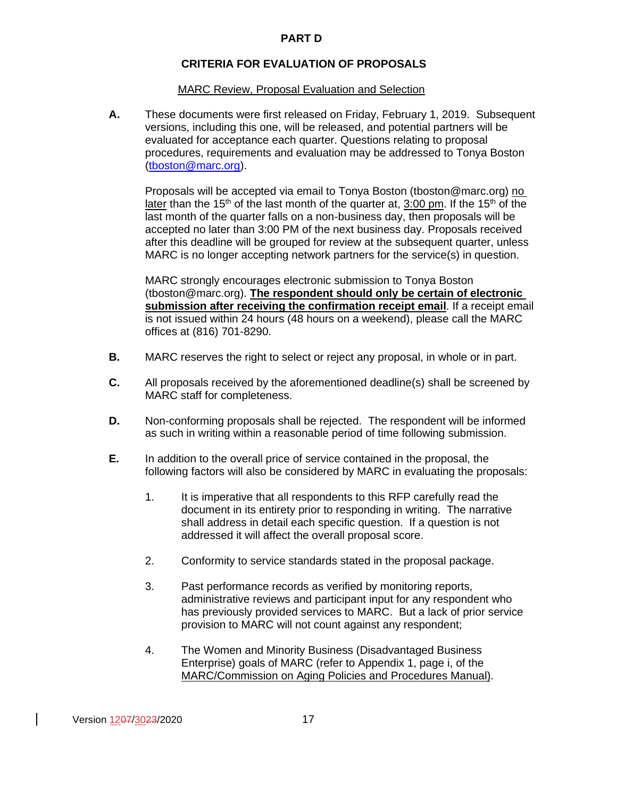### **PART D**

### **CRITERIA FOR EVALUATION OF PROPOSALS**

#### MARC Review, Proposal Evaluation and Selection

**A.** These documents were first released on Friday, February 1, 2019. Subsequent versions, including this one, will be released, and potential partners will be evaluated for acceptance each quarter. Questions relating to proposal procedures, requirements and evaluation may be addressed to Tonya Boston [\(tboston@marc.org\)](mailto:tboston@marc.org).

Proposals will be accepted via email to Tonya Boston (tboston@marc.org) no later than the 15<sup>th</sup> of the last month of the quarter at, 3:00 pm. If the 15<sup>th</sup> of the last month of the quarter falls on a non-business day, then proposals will be accepted no later than 3:00 PM of the next business day. Proposals received after this deadline will be grouped for review at the subsequent quarter, unless MARC is no longer accepting network partners for the service(s) in question.

MARC strongly encourages electronic submission to Tonya Boston (tboston@marc.org). **The respondent should only be certain of electronic submission after receiving the confirmation receipt email**. If a receipt email is not issued within 24 hours (48 hours on a weekend), please call the MARC offices at (816) 701-8290.

- **B.** MARC reserves the right to select or reject any proposal, in whole or in part.
- **C.** All proposals received by the aforementioned deadline(s) shall be screened by MARC staff for completeness.
- **D.** Non-conforming proposals shall be rejected. The respondent will be informed as such in writing within a reasonable period of time following submission.
- **E.** In addition to the overall price of service contained in the proposal, the following factors will also be considered by MARC in evaluating the proposals:
	- 1. It is imperative that all respondents to this RFP carefully read the document in its entirety prior to responding in writing. The narrative shall address in detail each specific question. If a question is not addressed it will affect the overall proposal score.
	- 2. Conformity to service standards stated in the proposal package.
	- 3. Past performance records as verified by monitoring reports, administrative reviews and participant input for any respondent who has previously provided services to MARC. But a lack of prior service provision to MARC will not count against any respondent;
	- 4. The Women and Minority Business (Disadvantaged Business Enterprise) goals of MARC (refer to Appendix 1, page i, of the MARC/Commission on Aging Policies and Procedures Manual).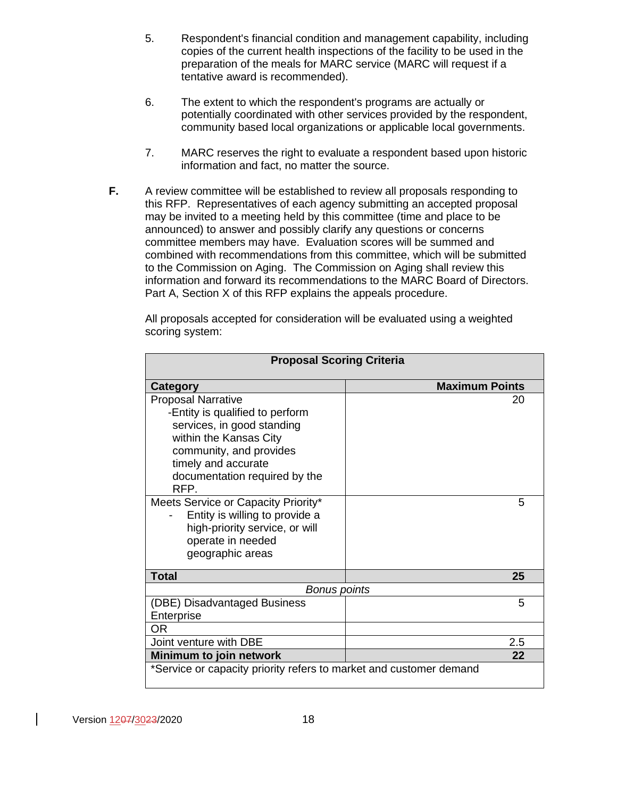- 5. Respondent's financial condition and management capability, including copies of the current health inspections of the facility to be used in the preparation of the meals for MARC service (MARC will request if a tentative award is recommended).
- 6. The extent to which the respondent's programs are actually or potentially coordinated with other services provided by the respondent, community based local organizations or applicable local governments.
- 7. MARC reserves the right to evaluate a respondent based upon historic information and fact, no matter the source.
- **F.** A review committee will be established to review all proposals responding to this RFP. Representatives of each agency submitting an accepted proposal may be invited to a meeting held by this committee (time and place to be announced) to answer and possibly clarify any questions or concerns committee members may have. Evaluation scores will be summed and combined with recommendations from this committee, which will be submitted to the Commission on Aging. The Commission on Aging shall review this information and forward its recommendations to the MARC Board of Directors. Part A, Section X of this RFP explains the appeals procedure.

| <b>Proposal Scoring Criteria</b>                                                                                                                                                                                |                       |  |
|-----------------------------------------------------------------------------------------------------------------------------------------------------------------------------------------------------------------|-----------------------|--|
| Category                                                                                                                                                                                                        | <b>Maximum Points</b> |  |
| <b>Proposal Narrative</b><br>-Entity is qualified to perform<br>services, in good standing<br>within the Kansas City<br>community, and provides<br>timely and accurate<br>documentation required by the<br>RFP. | 20                    |  |
| Meets Service or Capacity Priority*<br>Entity is willing to provide a<br>high-priority service, or will<br>operate in needed<br>geographic areas                                                                | 5                     |  |
| <b>Total</b>                                                                                                                                                                                                    | 25                    |  |
| <b>Bonus points</b>                                                                                                                                                                                             |                       |  |
| (DBE) Disadvantaged Business<br>Enterprise                                                                                                                                                                      | 5                     |  |
| OR.                                                                                                                                                                                                             |                       |  |
| Joint venture with DBE                                                                                                                                                                                          | 2.5                   |  |
| Minimum to join network                                                                                                                                                                                         | 22                    |  |
| *Service or capacity priority refers to market and customer demand                                                                                                                                              |                       |  |

All proposals accepted for consideration will be evaluated using a weighted scoring system: